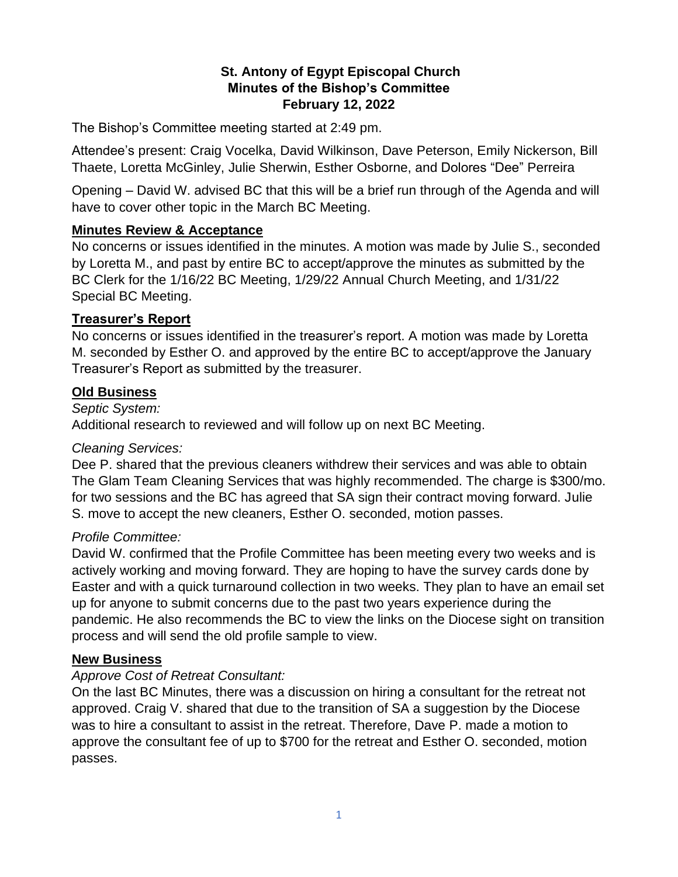### **St. Antony of Egypt Episcopal Church Minutes of the Bishop's Committee February 12, 2022**

The Bishop's Committee meeting started at 2:49 pm.

Attendee's present: Craig Vocelka, David Wilkinson, Dave Peterson, Emily Nickerson, Bill Thaete, Loretta McGinley, Julie Sherwin, Esther Osborne, and Dolores "Dee" Perreira

Opening – David W. advised BC that this will be a brief run through of the Agenda and will have to cover other topic in the March BC Meeting.

### **Minutes Review & Acceptance**

No concerns or issues identified in the minutes. A motion was made by Julie S., seconded by Loretta M., and past by entire BC to accept/approve the minutes as submitted by the BC Clerk for the 1/16/22 BC Meeting, 1/29/22 Annual Church Meeting, and 1/31/22 Special BC Meeting.

### **Treasurer's Report**

No concerns or issues identified in the treasurer's report. A motion was made by Loretta M. seconded by Esther O. and approved by the entire BC to accept/approve the January Treasurer's Report as submitted by the treasurer.

# **Old Business**

#### *Septic System:*

Additional research to reviewed and will follow up on next BC Meeting.

### *Cleaning Services:*

Dee P. shared that the previous cleaners withdrew their services and was able to obtain The Glam Team Cleaning Services that was highly recommended. The charge is \$300/mo. for two sessions and the BC has agreed that SA sign their contract moving forward. Julie S. move to accept the new cleaners, Esther O. seconded, motion passes.

### *Profile Committee:*

David W. confirmed that the Profile Committee has been meeting every two weeks and is actively working and moving forward. They are hoping to have the survey cards done by Easter and with a quick turnaround collection in two weeks. They plan to have an email set up for anyone to submit concerns due to the past two years experience during the pandemic. He also recommends the BC to view the links on the Diocese sight on transition process and will send the old profile sample to view.

### **New Business**

### *Approve Cost of Retreat Consultant:*

On the last BC Minutes, there was a discussion on hiring a consultant for the retreat not approved. Craig V. shared that due to the transition of SA a suggestion by the Diocese was to hire a consultant to assist in the retreat. Therefore, Dave P. made a motion to approve the consultant fee of up to \$700 for the retreat and Esther O. seconded, motion passes.